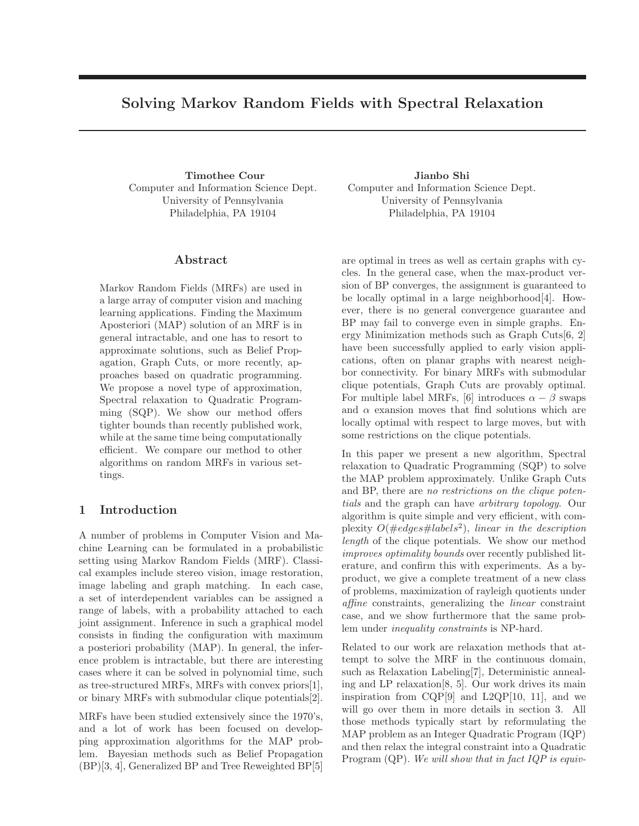# Solving Markov Random Fields with Spectral Relaxation

Timothee Cour Computer and Information Science Dept. University of Pennsylvania Philadelphia, PA 19104

## Abstract

Markov Random Fields (MRFs) are used in a large array of computer vision and maching learning applications. Finding the Maximum Aposteriori (MAP) solution of an MRF is in general intractable, and one has to resort to approximate solutions, such as Belief Propagation, Graph Cuts, or more recently, approaches based on quadratic programming. We propose a novel type of approximation, Spectral relaxation to Quadratic Programming (SQP). We show our method offers tighter bounds than recently published work, while at the same time being computationally efficient. We compare our method to other algorithms on random MRFs in various settings.

## 1 Introduction

A number of problems in Computer Vision and Machine Learning can be formulated in a probabilistic setting using Markov Random Fields (MRF). Classical examples include stereo vision, image restoration, image labeling and graph matching. In each case, a set of interdependent variables can be assigned a range of labels, with a probability attached to each joint assignment. Inference in such a graphical model consists in finding the configuration with maximum a posteriori probability (MAP). In general, the inference problem is intractable, but there are interesting cases where it can be solved in polynomial time, such as tree-structured MRFs, MRFs with convex priors[1], or binary MRFs with submodular clique potentials[2].

MRFs have been studied extensively since the 1970's, and a lot of work has been focused on developping approximation algorithms for the MAP problem. Bayesian methods such as Belief Propagation (BP)[3, 4], Generalized BP and Tree Reweighted BP[5]

Jianbo Shi Computer and Information Science Dept. University of Pennsylvania Philadelphia, PA 19104

are optimal in trees as well as certain graphs with cycles. In the general case, when the max-product version of BP converges, the assignment is guaranteed to be locally optimal in a large neighborhood[4]. However, there is no general convergence guarantee and BP may fail to converge even in simple graphs. Energy Minimization methods such as Graph Cuts[6, 2] have been successfully applied to early vision applications, often on planar graphs with nearest neighbor connectivity. For binary MRFs with submodular clique potentials, Graph Cuts are provably optimal. For multiple label MRFs, [6] introduces  $\alpha - \beta$  swaps and  $\alpha$  exansion moves that find solutions which are locally optimal with respect to large moves, but with some restrictions on the clique potentials.

In this paper we present a new algorithm, Spectral relaxation to Quadratic Programming (SQP) to solve the MAP problem approximately. Unlike Graph Cuts and BP, there are no restrictions on the clique potentials and the graph can have arbitrary topology. Our algorithm is quite simple and very efficient, with complexity  $O(\text{\#edges} \text{\#labels}^2)$ , linear in the description length of the clique potentials. We show our method improves optimality bounds over recently published literature, and confirm this with experiments. As a byproduct, we give a complete treatment of a new class of problems, maximization of rayleigh quotients under affine constraints, generalizing the linear constraint case, and we show furthermore that the same problem under inequality constraints is NP-hard.

Related to our work are relaxation methods that attempt to solve the MRF in the continuous domain, such as Relaxation Labeling[7], Deterministic annealing and LP relaxation[8, 5]. Our work drives its main inspiration from  $CQP[9]$  and  $L2QP[10, 11]$ , and we will go over them in more details in section 3. All those methods typically start by reformulating the MAP problem as an Integer Quadratic Program (IQP) and then relax the integral constraint into a Quadratic Program  $(QP)$ . We will show that in fact IQP is equiv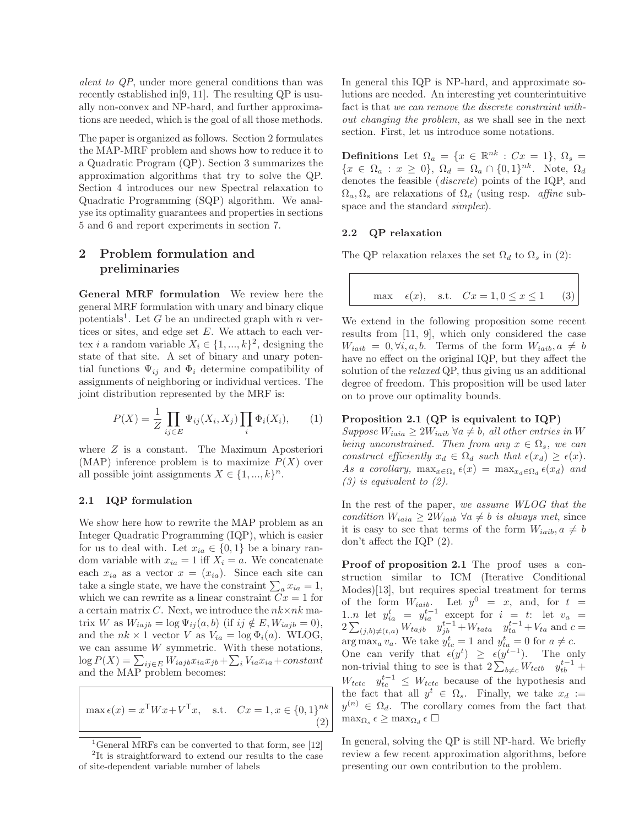alent to QP, under more general conditions than was recently established in[9, 11]. The resulting QP is usually non-convex and NP-hard, and further approximations are needed, which is the goal of all those methods.

The paper is organized as follows. Section 2 formulates the MAP-MRF problem and shows how to reduce it to a Quadratic Program (QP). Section 3 summarizes the approximation algorithms that try to solve the QP. Section 4 introduces our new Spectral relaxation to Quadratic Programming (SQP) algorithm. We analyse its optimality guarantees and properties in sections 5 and 6 and report experiments in section 7.

## 2 Problem formulation and preliminaries

General MRF formulation We review here the general MRF formulation with unary and binary clique potentials<sup>1</sup>. Let G be an undirected graph with n vertices or sites, and edge set  $E$ . We attach to each vertex *i* a random variable  $X_i \in \{1, ..., k\}^2$ , designing the state of that site. A set of binary and unary potential functions  $\Psi_{ij}$  and  $\Phi_i$  determine compatibility of assignments of neighboring or individual vertices. The joint distribution represented by the MRF is:

$$
P(X) = \frac{1}{Z} \prod_{ij \in E} \Psi_{ij}(X_i, X_j) \prod_i \Phi_i(X_i), \qquad (1)
$$

where Z is a constant. The Maximum Aposteriori (MAP) inference problem is to maximize  $P(X)$  over all possible joint assignments  $X \in \{1, ..., k\}^n$ .

### 2.1 IQP formulation

We show here how to rewrite the MAP problem as an Integer Quadratic Programming (IQP), which is easier for us to deal with. Let  $x_{ia} \in \{0,1\}$  be a binary random variable with  $x_{ia} = 1$  iff  $X_i = a$ . We concatenate each  $x_{ia}$  as a vector  $x = (x_{ia})$ . Since each site can take a single state, we have the constraint  $\sum_{a} x_{ia} = 1$ , which we can rewrite as a linear constraint  $Cx = 1$  for a certain matrix C. Next, we introduce the  $nk \times nk$  matrix W as  $W_{iajb} = \log \Psi_{ij}(a, b)$  (if  $ij \notin E, W_{iajb} = 0$ ), and the  $nk \times 1$  vector V as  $V_{ia} = \log \Phi_i(a)$ . WLOG, we can assume  $W$  symmetric. With these notations,  $\log P(X) = \sum_{ij \in E} W_{iajb} x_{ia} x_{jb} + \sum_i V_{ia} x_{ia} + constant$ and the MAP problem becomes:

max  $\epsilon(x) = x^{\mathsf{T}} W x + V^{\mathsf{T}} x$ , s.t.  $Cx = 1, x \in \{0, 1\}^{nk}$ (2)

<sup>1</sup>General MRFs can be converted to that form, see [12]

2 It is straightforward to extend our results to the case of site-dependent variable number of labels

In general this IQP is NP-hard, and approximate solutions are needed. An interesting yet counterintuitive fact is that we can remove the discrete constraint without changing the problem, as we shall see in the next section. First, let us introduce some notations.

Definitions Let  $\Omega_a = \{x \in \mathbb{R}^{nk} : Cx = 1\}, \Omega_s =$  ${x \in \Omega_a : x \ge 0}, \Omega_d = \Omega_a \cap \{0,1\}^{nk}$ . Note,  $\Omega_d$ denotes the feasible (discrete) points of the IQP, and  $\Omega_a, \Omega_s$  are relaxations of  $\Omega_d$  (using resp. *affine* subspace and the standard *simplex*).

#### 2.2 QP relaxation

The QP relaxation relaxes the set  $\Omega_d$  to  $\Omega_s$  in (2):

$$
\max \quad \epsilon(x), \quad \text{s.t.} \quad Cx = 1, 0 \le x \le 1 \tag{3}
$$

We extend in the following proposition some recent results from [11, 9], which only considered the case  $W_{iaib} = 0, \forall i, a, b.$  Terms of the form  $W_{iaib}, a \neq b$ have no effect on the original IQP, but they affect the solution of the *relaxed* QP, thus giving us an additional degree of freedom. This proposition will be used later on to prove our optimality bounds.

### Proposition 2.1 (QP is equivalent to IQP)

Suppose  $W_{iaia} \geq 2W_{iaib} \ \forall a \neq b$ , all other entries in W being unconstrained. Then from any  $x \in \Omega_s$ , we can construct efficiently  $x_d \in \Omega_d$  such that  $\epsilon(x_d) \geq \epsilon(x)$ . As a corollary,  $\max_{x \in \Omega_s} \epsilon(x) = \max_{x_d \in \Omega_d} \epsilon(x_d)$  and  $(3)$  is equivalent to  $(2)$ .

In the rest of the paper, we assume WLOG that the condition  $W_{iaia} \geq 2W_{iaib} \ \forall a \neq b \ \text{is always met, since}$ it is easy to see that terms of the form  $W_{iaib}, a \neq b$ don't affect the IQP (2).

Proof of proposition 2.1 The proof uses a construction similar to ICM (Iterative Conditional Modes)[13], but requires special treatment for terms of the form  $W_{iaib}$ . Let  $y^0 = x$ , and, for  $t =$ 1..*n* let  $y_{ia}^t = y_{ia}^{t-1}$  except for  $i = t$ : let  $v_a =$  $2\sum_{(j,b)\neq (t,a)} W_{tajb}$   $y_{jb}^{t-1} + W_{tata}$   $y_{ta}^{t-1} + V_{ta}$  and  $c =$  $\arg \max_a v_a$ . We take  $y_{tc}^t = 1$  and  $y_{ta}^t = 0$  for  $a \neq c$ . One can verify that  $\epsilon(y^t) \geq \epsilon(y^{t-1})$ . The only non-trivial thing to see is that  $2\sum_{b\neq c}W_{tctb}$   $y_{tb}^{t-1}$  +  $W_{tctc}$   $y_{tc}^{t-1} \leq W_{tctc}$  because of the hypothesis and the fact that all  $y^t \in \Omega_s$ . Finally, we take  $x_d :=$  $y^{(n)} \in \Omega_d$ . The corollary comes from the fact that  $\max_{\Omega_s} \epsilon \geq \max_{\Omega_d} \epsilon \square$ 

In general, solving the QP is still NP-hard. We briefly review a few recent approximation algorithms, before presenting our own contribution to the problem.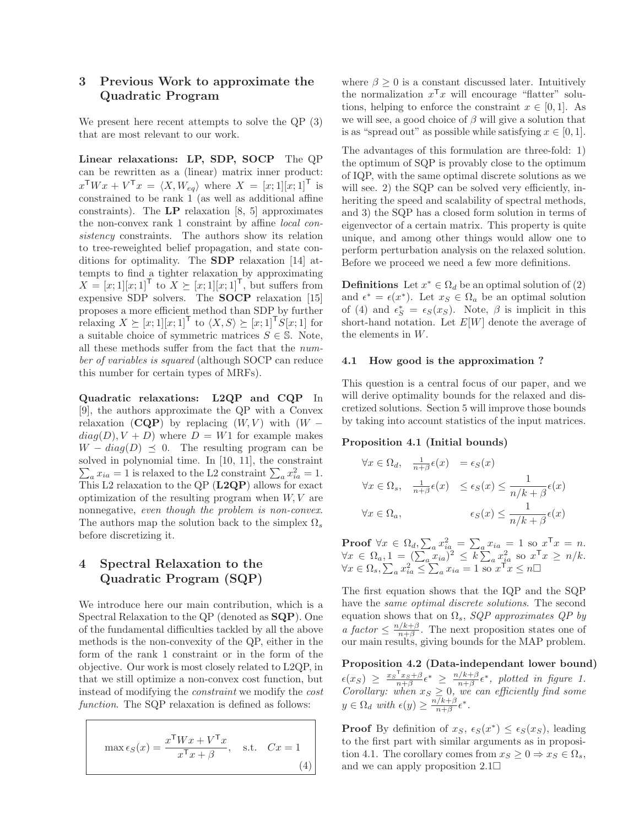## 3 Previous Work to approximate the Quadratic Program

We present here recent attempts to solve the QP (3) that are most relevant to our work.

Linear relaxations: LP, SDP, SOCP The QP can be rewritten as a (linear) matrix inner product:  $x^{\mathsf{T}}Wx + V^{\mathsf{T}}x = \langle X, W_{eq} \rangle$  where  $X = [x; 1][x; 1]^{\mathsf{T}}$  is constrained to be rank 1 (as well as additional affine constraints). The  $\mathbf{LP}$  relaxation [8, 5] approximates the non-convex rank 1 constraint by affine local consistency constraints. The authors show its relation to tree-reweighted belief propagation, and state conditions for optimality. The SDP relaxation [14] attempts to find a tighter relaxation by approximating  $X = [x; 1][x; 1]^\mathsf{T}$  to  $X \succeq [x; 1][x; 1]^\mathsf{T}$ , but suffers from expensive SDP solvers. The **SOCP** relaxation [15] proposes a more efficient method than SDP by further relaxing  $X \succeq [x; 1][x; 1]^\mathsf{T}$  to  $\langle X, S \rangle \succeq [x; 1]^\mathsf{T} S[x; 1]$  for a suitable choice of symmetric matrices  $S \in \mathbb{S}$ . Note, all these methods suffer from the fact that the number of variables is squared (although SOCP can reduce this number for certain types of MRFs).

Quadratic relaxations: L2QP and CQP In [9], the authors approximate the QP with a Convex relaxation (CQP) by replacing  $(W, V)$  with  $(W$  $diag(D), V + D$ ) where  $D = W1$  for example makes  $W - diag(D) \preceq 0$ . The resulting program can be solved in polynomial time. In [10, 11], the constraint  $\sum_{a} x_{ia} = 1$  is relaxed to the L2 constraint  $\sum_{a} x_{ia}^2 = 1$ . This L2 relaxation to the QP  $(L2QP)$  allows for exact optimization of the resulting program when  $W, V$  are nonnegative, even though the problem is non-convex. The authors map the solution back to the simplex  $\Omega_s$ before discretizing it.

## 4 Spectral Relaxation to the Quadratic Program (SQP)

We introduce here our main contribution, which is a Spectral Relaxation to the QP (denoted as SQP). One of the fundamental difficulties tackled by all the above methods is the non-convexity of the QP, either in the form of the rank 1 constraint or in the form of the objective. Our work is most closely related to L2QP, in that we still optimize a non-convex cost function, but instead of modifying the constraint we modify the cost function. The SQP relaxation is defined as follows:

$$
\max \epsilon_S(x) = \frac{x^{\mathsf{T}} W x + V^{\mathsf{T}} x}{x^{\mathsf{T}} x + \beta}, \quad \text{s.t.} \quad C x = 1
$$
\n(4)

where  $\beta > 0$  is a constant discussed later. Intuitively the normalization  $x^Tx$  will encourage "flatter" solutions, helping to enforce the constraint  $x \in [0, 1]$ . As we will see, a good choice of  $\beta$  will give a solution that is as "spread out" as possible while satisfying  $x \in [0, 1]$ .

The advantages of this formulation are three-fold: 1) the optimum of SQP is provably close to the optimum of IQP, with the same optimal discrete solutions as we will see. 2) the SQP can be solved very efficiently, inheriting the speed and scalability of spectral methods, and 3) the SQP has a closed form solution in terms of eigenvector of a certain matrix. This property is quite unique, and among other things would allow one to perform perturbation analysis on the relaxed solution. Before we proceed we need a few more definitions.

**Definitions** Let  $x^* \in \Omega_d$  be an optimal solution of (2) and  $\epsilon^* = \epsilon(x^*)$ . Let  $x_S \in \Omega_a$  be an optimal solution of (4) and  $\epsilon_S^* = \epsilon_S(x_S)$ . Note,  $\beta$  is implicit in this short-hand notation. Let  $E[W]$  denote the average of the elements in W.

### 4.1 How good is the approximation ?

This question is a central focus of our paper, and we will derive optimality bounds for the relaxed and discretized solutions. Section 5 will improve those bounds by taking into account statistics of the input matrices.

### Proposition 4.1 (Initial bounds)

$$
\forall x \in \Omega_d, \quad \frac{1}{n+\beta} \epsilon(x) = \epsilon_S(x)
$$
  

$$
\forall x \in \Omega_s, \quad \frac{1}{n+\beta} \epsilon(x) \le \epsilon_S(x) \le \frac{1}{n/k + \beta} \epsilon(x)
$$
  

$$
\forall x \in \Omega_a, \qquad \epsilon_S(x) \le \frac{1}{n/k + \beta} \epsilon(x)
$$

**Proof**  $\forall x \in \Omega_d$ ,  $\sum_a x_{ia}^2 = \sum_a x_{ia} = 1$  so  $x^T x = n$ .  $\forall x \in \Omega_a, 1 = (\sum_a x_{ia})^2 \leq k \sum_a x_{ia}^2$  so  $x^Tx \geq n/k$ .  $\forall x \in \Omega_s, \sum_a x_{ia}^2 \leq \sum_a x_{ia} = 1$  so  $x^{\dagger}$ <sup>x</sup> $x \leq n$ 

The first equation shows that the IQP and the SQP have the same optimal discrete solutions. The second equation shows that on  $\Omega_s$ , SQP approximates QP by a factor  $\leq \frac{n/k+\beta}{n+\beta}$  $\frac{n}{n+\beta}$ . The next proposition states one of our main results, giving bounds for the MAP problem.

Proposition 4.2 (Data-independant lower bound)  $\epsilon(x_S) \geq \frac{x_S^\mathsf{T} x_S + \beta}{n + \beta} \epsilon^* \geq \frac{n/k + \beta}{n + \beta}$  $\frac{f(k+\beta)}{n+\beta} \epsilon^*$ , plotted in figure 1. Corollary: when  $x_S \geq 0$ , we can efficiently find some  $y \in \Omega_d$  with  $\epsilon(y) \geq \frac{n/k+\beta}{n+\beta}$  $\frac{1}{n+\beta}\epsilon^*.$ 

**Proof** By definition of  $x_S$ ,  $\epsilon_S(x^*) \leq \epsilon_S(x_S)$ , leading to the first part with similar arguments as in proposition 4.1. The corollary comes from  $x_S \geq 0 \Rightarrow x_S \in \Omega_s$ , and we can apply proposition  $2.1\Box$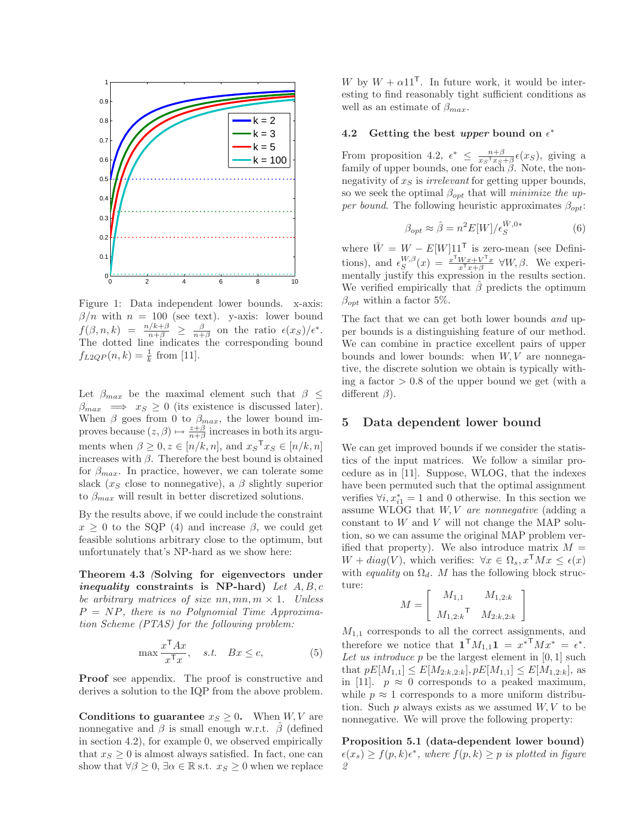

Figure 1: Data independent lower bounds. x-axis:  $\beta/n$  with  $n = 100$  (see text). y-axis: lower bound  $f(\beta,n,k) = \frac{n/k+\beta}{n+\beta} \geq \frac{\beta}{n+\beta}$  on the ratio  $\epsilon(x_S)/\epsilon^*$ . The dotted line indicates the corresponding bound  $f_{L2QP}(n,k) = \frac{1}{k}$  from [11].

Let  $\beta_{max}$  be the maximal element such that  $\beta \leq$  $\beta_{max} \implies x_S \geq 0$  (its existence is discussed later). When  $\beta$  goes from 0 to  $\beta_{max}$ , the lower bound improves because  $(z, \beta) \mapsto \frac{z+\beta}{n+\beta}$  increases in both its arguments when  $\beta \geq 0, z \in [n/k, n]$ , and  $x_S^{\mathsf{T}} x_S \in [n/k, n]$ increases with  $\beta$ . Therefore the best bound is obtained for  $\beta_{max}$ . In practice, however, we can tolerate some slack ( $x<sub>S</sub>$  close to nonnegative), a  $\beta$  slightly superior to  $\beta_{max}$  will result in better discretized solutions.

By the results above, if we could include the constraint  $x \geq 0$  to the SQP (4) and increase  $\beta$ , we could get feasible solutions arbitrary close to the optimum, but unfortunately that's NP-hard as we show here:

Theorem 4.3 (Solving for eigenvectors under *inequality* constraints is NP-hard) Let  $A, B, c$ be arbitrary matrices of size nn,  $mn, m \times 1$ . Unless  $P = NP$ , there is no Polynomial Time Approximation Scheme (PTAS) for the following problem:

$$
\max \frac{x^{\mathsf{T}} A x}{x^{\mathsf{T}} x}, \quad s.t. \quad Bx \le c,\tag{5}
$$

Proof see appendix. The proof is constructive and derives a solution to the IQP from the above problem.

Conditions to guarantee  $x_S \geq 0$ . When  $W, V$  are nonnegative and  $\beta$  is small enough w.r.t.  $\beta$  (defined in section 4.2), for example 0, we observed empirically that  $x_S \geq 0$  is almost always satisfied. In fact, one can show that  $\forall \beta \geq 0, \exists \alpha \in \mathbb{R} \text{ s.t. } x_{\beta} \geq 0 \text{ when we replace }$ 

W by  $W + \alpha 11^{\mathsf{T}}$ . In future work, it would be interesting to find reasonably tight sufficient conditions as well as an estimate of  $\beta_{max}$ .

## 4.2 Getting the best upper bound on  $\epsilon^*$

From proposition 4.2,  $\epsilon^* \leq \frac{n+\beta}{x_S^\top x_S}$  $\frac{n+\beta}{x_S^\mathsf{T} x_S + \beta} \epsilon(x_S)$ , giving a family of upper bounds, one for each  $\beta$ . Note, the nonnegativity of  $x<sub>S</sub>$  is *irrelevant* for getting upper bounds, so we seek the optimal  $\beta_{opt}$  that will *minimize the up*per bound. The following heuristic approximates  $\beta_{opt}$ :

$$
\beta_{opt} \approx \hat{\beta} = n^2 E[W]/\epsilon_S^{W,0*}
$$
 (6)

where  $\overline{W} = W - E[W]11^{\mathsf{T}}$  is zero-mean (see Definitions), and  $\epsilon_S^{W,\beta}(x) = \frac{x^{\mathsf{T}} W x + V^{\mathsf{T}} x}{x^{\mathsf{T}} x + \beta}$   $\forall W, \beta$ . We experimentally justify this expression in the results section. We verified empirically that  $\hat{\beta}$  predicts the optimum  $\beta_{opt}$  within a factor 5%.

The fact that we can get both lower bounds and upper bounds is a distinguishing feature of our method. We can combine in practice excellent pairs of upper bounds and lower bounds: when  $W, V$  are nonnegative, the discrete solution we obtain is typically withing a factor  $> 0.8$  of the upper bound we get (with a different  $\beta$ ).

## 5 Data dependent lower bound

We can get improved bounds if we consider the statistics of the input matrices. We follow a similar procedure as in [11]. Suppose, WLOG, that the indexes have been permuted such that the optimal assignment verifies  $\forall i, x_{i1}^* = 1$  and 0 otherwise. In this section we assume WLOG that  $W, V$  are nonnegative (adding a constant to  $W$  and  $V$  will not change the MAP solution, so we can assume the original MAP problem verified that property). We also introduce matrix  $M =$  $W + diag(V)$ , which verifies:  $\forall x \in \Omega_s$ ,  $x^{\mathsf{T}} M x \leq \epsilon(x)$ with equality on  $\Omega_d$ . M has the following block structure: 1

$$
M = \begin{bmatrix} M_{1,1} & M_{1,2:k} \\ M_{1,2:k} & M_{2:k,2:k} \end{bmatrix}
$$

 $M_{1,1}$  corresponds to all the correct assignments, and therefore we notice that  $\mathbf{1}^{\mathsf{T}} M_{1,1} \mathbf{1} = x^{* \mathsf{T}} M x^{*} = \epsilon^{*}.$ Let us introduce  $p$  be the largest element in  $[0, 1]$  such that  $pE[M_{1,1}] \leq E[M_{2:k,2:k}], pE[M_{1,1}] \leq E[M_{1,2:k}],$  as in [11].  $p \approx 0$  corresponds to a peaked maximum, while  $p \approx 1$  corresponds to a more uniform distribution. Such  $p$  always exists as we assumed  $W, V$  to be nonnegative. We will prove the following property:

Proposition 5.1 (data-dependent lower bound)  $\epsilon(x_s) \ge f(p, k)\epsilon^*$ , where  $f(p, k) \ge p$  is plotted in figure 2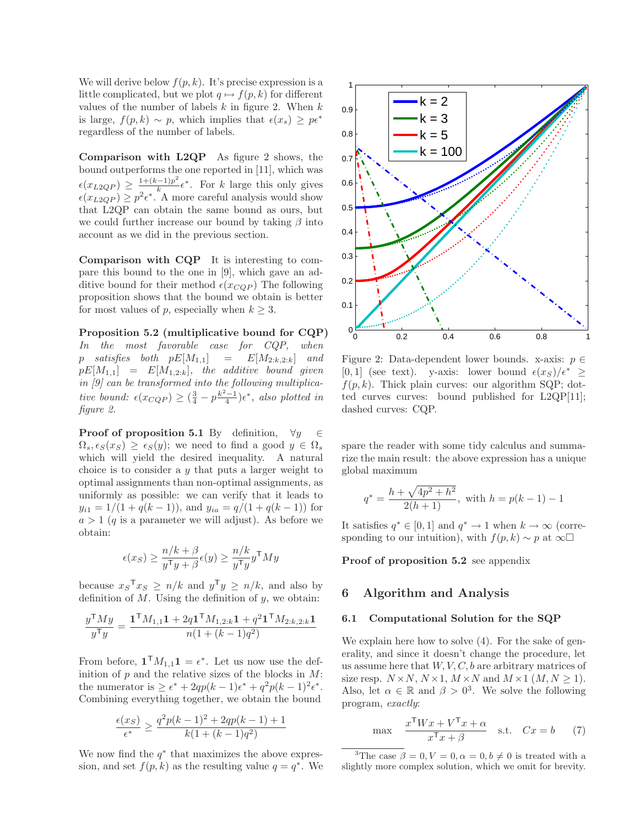We will derive below  $f(p, k)$ . It's precise expression is a little complicated, but we plot  $q \mapsto f(p, k)$  for different values of the number of labels  $k$  in figure 2. When  $k$ is large,  $f(p, k) \sim p$ , which implies that  $\epsilon(x_s) \geq p\epsilon^*$ regardless of the number of labels.

Comparison with L2QP As figure 2 shows, the bound outperforms the one reported in [11], which was  $\epsilon(x_{L2QP}) \geq \frac{1+(k-1)p^2}{p}$  $\frac{(-1)p^2}{k}\epsilon^*$ . For k large this only gives  $\epsilon(x_{L2QP}) \ge p^2 \epsilon^*$ . A more careful analysis would show that L2QP can obtain the same bound as ours, but we could further increase our bound by taking  $\beta$  into account as we did in the previous section.

Comparison with CQP It is interesting to compare this bound to the one in [9], which gave an additive bound for their method  $\epsilon(x_{CQP})$  The following proposition shows that the bound we obtain is better for most values of p, especially when  $k \geq 3$ .

Proposition 5.2 (multiplicative bound for CQP) In the most favorable case for CQP, when p satisfies both  $pE[M_{1,1}] = E[M_{2:k,2:k}]$  and  $pE[M_{1,1}] = E[M_{1,2:k}],$  the additive bound given in [9] can be transformed into the following multiplicative bound:  $\epsilon(x_{CQP}) \geq (\frac{3}{4} - p\frac{k^2-1}{4})\epsilon^*$ , also plotted in figure 2.

**Proof of proposition 5.1** By definition,  $\forall y \in \mathbb{R}$  $\Omega_s$ ,  $\epsilon_S(x_S) \geq \epsilon_S(y)$ ; we need to find a good  $y \in \Omega_s$ which will yield the desired inequality. A natural choice is to consider a  $y$  that puts a larger weight to optimal assignments than non-optimal assignments, as uniformly as possible: we can verify that it leads to  $y_{i1} = 1/(1 + q(k-1))$ , and  $y_{ia} = q/(1 + q(k-1))$  for  $a > 1$  (q is a parameter we will adjust). As before we obtain:

$$
\epsilon(x_S) \ge \frac{n/k + \beta}{y^{\mathsf{T}}y + \beta} \epsilon(y) \ge \frac{n/k}{y^{\mathsf{T}}y} y^{\mathsf{T}} My
$$

because  $x_S^\mathsf{T} x_S \ge n/k$  and  $y^\mathsf{T} y \ge n/k$ , and also by definition of  $M$ . Using the definition of  $y$ , we obtain:

$$
\frac{y^\mathsf{T} M y}{y^\mathsf{T} y} = \frac{\mathbf{1}^\mathsf{T} M_{1,1} \mathbf{1} + 2q \mathbf{1}^\mathsf{T} M_{1,2:k} \mathbf{1} + q^2 \mathbf{1}^\mathsf{T} M_{2:k,2:k} \mathbf{1}}{n(1 + (k-1)q^2)}
$$

From before,  $\mathbf{1}^\mathsf{T} M_{1,1} \mathbf{1} = \epsilon^*$ . Let us now use the definition of  $p$  and the relative sizes of the blocks in  $M$ : the numerator is  $\geq \epsilon^* + 2qp(k-1)\epsilon^* + q^2p(k-1)^2\epsilon^*.$ Combining everything together, we obtain the bound

$$
\frac{\epsilon(x_S)}{\epsilon^*} \ge \frac{q^2 p(k-1)^2 + 2qp(k-1) + 1}{k(1 + (k-1)q^2)}
$$

We now find the  $q^*$  that maximizes the above expression, and set  $f(p, k)$  as the resulting value  $q = q^*$ . We



Figure 2: Data-dependent lower bounds. x-axis:  $p \in$ [0, 1] (see text). y-axis: lower bound  $\epsilon(x_S)/\epsilon^* \geq$  $f(p, k)$ . Thick plain curves: our algorithm SQP; dotted curves curves: bound published for L2QP[11]; dashed curves: CQP.

spare the reader with some tidy calculus and summarize the main result: the above expression has a unique global maximum

$$
q^* = \frac{h + \sqrt{4p^2 + h^2}}{2(h+1)},
$$
 with  $h = p(k-1) - 1$ 

It satisfies  $q^* \in [0,1]$  and  $q^* \to 1$  when  $k \to \infty$  (corresponding to our intuition), with  $f(p, k) \sim p$  at ∞

Proof of proposition 5.2 see appendix

### 6 Algorithm and Analysis

### 6.1 Computational Solution for the SQP

We explain here how to solve  $(4)$ . For the sake of generality, and since it doesn't change the procedure, let us assume here that  $W, V, C, b$  are arbitrary matrices of size resp.  $N \times N$ ,  $N \times 1$ ,  $M \times N$  and  $M \times 1$   $(M, N > 1)$ . Also, let  $\alpha \in \mathbb{R}$  and  $\beta > 0^3$ . We solve the following program, exactly:

$$
\max \quad \frac{x^{\mathsf{T}}Wx + V^{\mathsf{T}}x + \alpha}{x^{\mathsf{T}}x + \beta} \quad \text{s.t.} \quad Cx = b \tag{7}
$$

<sup>3</sup>The case  $\beta = 0, V = 0, \alpha = 0, b \neq 0$  is treated with a slightly more complex solution, which we omit for brevity.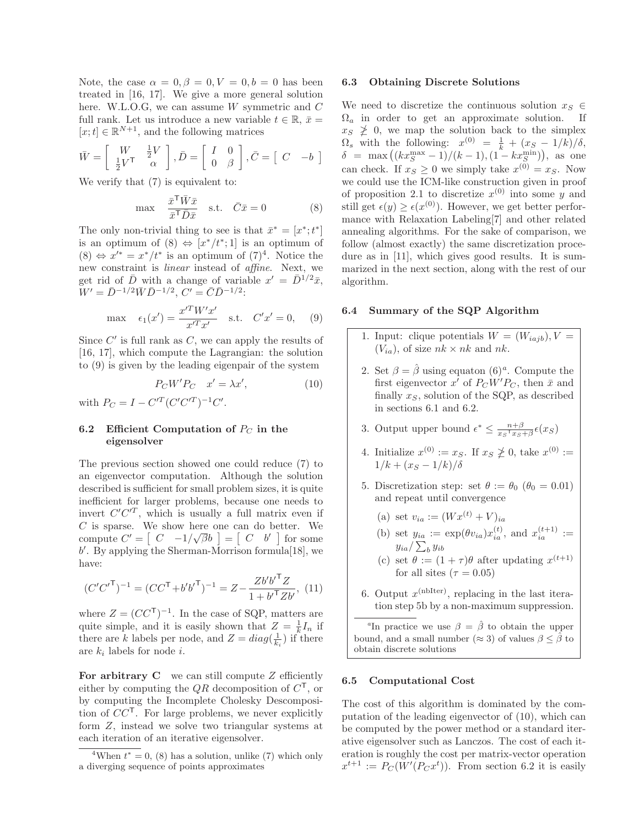Note, the case  $\alpha = 0, \beta = 0, V = 0, b = 0$  has been treated in [16, 17]. We give a more general solution here. W.L.O.G, we can assume W symmetric and C full rank. Let us introduce a new variable  $t \in \mathbb{R}$ ,  $\bar{x} =$  $[x;t] \in \mathbb{R}^{N+1}$ , and the following matrices

$$
\bar{W} = \begin{bmatrix} W & \frac{1}{2}V \\ \frac{1}{2}V^{\mathsf{T}} & \alpha \end{bmatrix}, \bar{D} = \begin{bmatrix} I & 0 \\ 0 & \beta \end{bmatrix}, \bar{C} = \begin{bmatrix} C & -b \end{bmatrix}
$$

We verify that  $(7)$  is equivalent to:

$$
\max \quad \frac{\bar{x}^{\mathsf{T}} \bar{W}\bar{x}}{\bar{x}^{\mathsf{T}} \bar{D}\bar{x}} \quad \text{s.t.} \quad \bar{C}\bar{x} = 0 \tag{8}
$$

The only non-trivial thing to see is that  $\bar{x}^* = [x^*; t^*]$ is an optimum of  $(8) \Leftrightarrow [x^*/t^*;1]$  is an optimum of  $(8)$  ⇔  $x'^* = x^*/t^*$  is an optimum of  $(7)^4$ . Notice the new constraint is linear instead of affine. Next, we get rid of  $\bar{D}$  with a change of variable  $x' = \bar{D}^{1/2}\bar{x}$ ,  $W' = \bar{D}^{-1/2} \bar{W} \bar{D}^{-1/2}, C' = \bar{C} \bar{D}^{-1/2}$ 

max 
$$
\epsilon_1(x') = \frac{x'^T W' x'}{x'^T x'}
$$
 s.t.  $C' x' = 0$ , (9)

Since  $C'$  is full rank as  $C$ , we can apply the results of [16, 17], which compute the Lagrangian: the solution to (9) is given by the leading eigenpair of the system

$$
P_C W' P_C \quad x' = \lambda x',\tag{10}
$$

with  $P_C = I - C^{\prime T} (C^{\prime} C^{\prime T})^{-1} C^{\prime}$ .

## 6.2 Efficient Computation of  $P_C$  in the eigensolver

The previous section showed one could reduce (7) to an eigenvector computation. Although the solution described is sufficient for small problem sizes, it is quite inefficient for larger problems, because one needs to invert  $C'C'^T$ , which is usually a full matrix even if  $C$  is sparse. We show here one can do better. We compute  $C' = \begin{bmatrix} C & -1/\sqrt{\beta}b \end{bmatrix} = \begin{bmatrix} C & b' \end{bmatrix}$  for some b ′ . By applying the Sherman-Morrison formula[18], we have:

$$
(C'C'^{\mathsf{T}})^{-1} = (CC^{\mathsf{T}} + b'b'^{\mathsf{T}})^{-1} = Z - \frac{Zb'b'^{\mathsf{T}}Z}{1 + b'^{\mathsf{T}}Zb'}, \tag{11}
$$

where  $Z = (CC^{\mathsf{T}})^{-1}$ . In the case of SQP, matters are quite simple, and it is easily shown that  $Z = \frac{1}{k}I_n$  if there are k labels per node, and  $Z = diag(\frac{1}{k_i})$  if there are  $k_i$  labels for node *i*.

For arbitrary  $C$  we can still compute  $Z$  efficiently either by computing the  $QR$  decomposition of  $C^{\mathsf{T}}$ , or by computing the Incomplete Cholesky Descomposition of  $CC^{\mathsf{T}}$ . For large problems, we never explicitly form Z, instead we solve two triangular systems at each iteration of an iterative eigensolver.

#### 6.3 Obtaining Discrete Solutions

We need to discretize the continuous solution  $x_S \in$  $\Omega_a$  in order to get an approximate solution. If  $x_S \not\geq 0$ , we map the solution back to the simplex  $\Omega_s$  with the following:  $x^{(0)} = \frac{1}{k} + (x_S - 1/k)/\delta$ ,  $\delta = \max((kx_S^{\max} - 1)/(k - 1), (1 - kx_S^{\min}))$ , as one can check. If  $x_S \geq 0$  we simply take  $x^{(0)} = x_S$ . Now we could use the ICM-like construction given in proof of proposition 2.1 to discretize  $x^{(0)}$  into some y and still get  $\epsilon(y) \geq \epsilon(x^{(0)})$ . However, we get better performance with Relaxation Labeling[7] and other related annealing algorithms. For the sake of comparison, we follow (almost exactly) the same discretization procedure as in [11], which gives good results. It is summarized in the next section, along with the rest of our algorithm.

#### 6.4 Summary of the SQP Algorithm

- 1. Input: clique potentials  $W = (W_{iajb}), V =$  $(V_{ia})$ , of size  $nk \times nk$  and  $nk$ .
- 2. Set  $\beta = \hat{\beta}$  using equaton  $(6)^a$ . Compute the first eigenvector  $x'$  of  $P_C W' P_C$ , then  $\bar{x}$  and finally  $x_S$ , solution of the SQP, as described in sections 6.1 and 6.2.
- 3. Output upper bound  $\epsilon^* \leq \frac{n+\beta}{x_S^\top x_S}$  $\frac{n+\beta}{x_S^\mathsf{T} x_S+\beta}\epsilon(x_S)$
- 4. Initialize  $x^{(0)} := x_S$ . If  $x_S \ngeq 0$ , take  $x^{(0)} :=$  $1/k + (x_S - 1/k)/\delta$
- 5. Discretization step: set  $\theta := \theta_0$  ( $\theta_0 = 0.01$ ) and repeat until convergence
	- (a) set  $v_{ia} := (W x^{(t)} + V)_{ia}$

(b) set 
$$
y_{ia} := \exp(\theta v_{ia}) x_{ia}^{(t)}
$$
, and  $x_{ia}^{(t+1)} :=$   
 $y_{ia} / \sum_b y_{ib}$ 

- (c) set  $\theta := (1 + \tau)\theta$  after updating  $x^{(t+1)}$ for all sites  $(\tau = 0.05)$
- 6. Output  $x^{\text{(nblter)}}$ , replacing in the last iteration step 5b by a non-maximum suppression.

<sup>a</sup>In practice we use  $\beta = \hat{\beta}$  to obtain the upper bound, and a small number ( $\approx$  3) of values  $\beta$  <  $\beta$  to obtain discrete solutions

### 6.5 Computational Cost

The cost of this algorithm is dominated by the computation of the leading eigenvector of (10), which can be computed by the power method or a standard iterative eigensolver such as Lanczos. The cost of each iteration is roughly the cost per matrix-vector operation  $x^{t+1} := P_C(W'(P_C x^t))$ . From section 6.2 it is easily

<sup>&</sup>lt;sup>4</sup>When  $t^* = 0$ , (8) has a solution, unlike (7) which only a diverging sequence of points approximates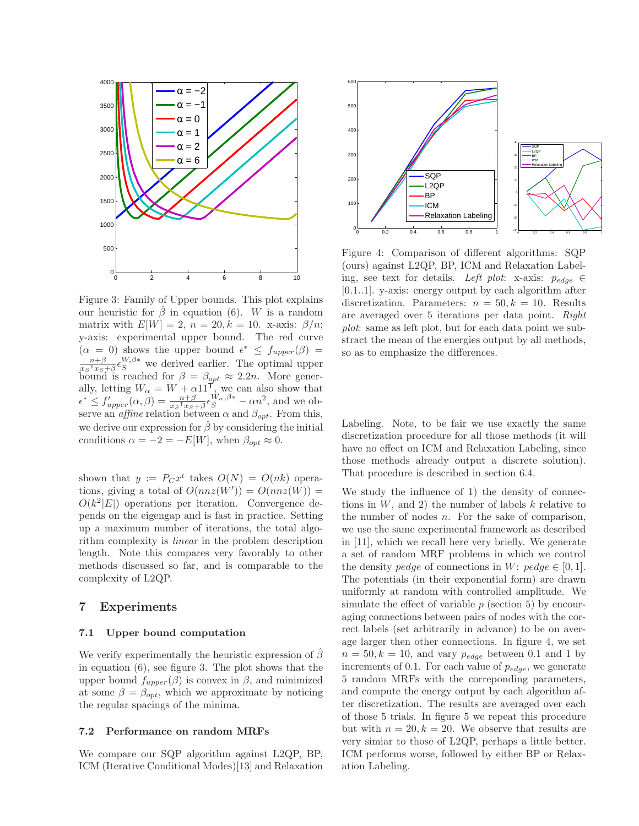

Figure 3: Family of Upper bounds. This plot explains our heuristic for  $\hat{\beta}$  in equation (6). W is a random matrix with  $E[W] = 2$ ,  $n = 20$ ,  $k = 10$ . x-axis:  $\beta/n$ ; y-axis: experimental upper bound. The red curve  $(\alpha = 0)$  shows the upper bound  $\epsilon^* \leq f_{upper}(\beta) =$ <br> $\alpha^{n+\beta} \leq W, \beta^*$  we derived earlier. The optimal upper  $\frac{n+\beta}{x_S^\mathsf{T} x_S+\beta} \epsilon_S^{W,\beta*}$  we derived earlier. The optimal upper bound is reached for  $\beta = \beta_{opt} \approx 2.2n$ . More generally, letting  $W_{\alpha} = W + \alpha 11 \frac{1}{N}$ , we can also show that  $\epsilon^* \le f'_{upper}(\alpha, \beta) = \frac{n+\beta}{x_S \tau_{\mathcal{LS}} + \beta} \epsilon_S^{W_{\alpha}, \beta*} - \alpha n^2$ , and we observe an *affine* relation between  $\alpha$  and  $\beta_{opt}$ . From this, we derive our expression for  $\hat{\beta}$  by considering the initial conditions  $\alpha = -2 = -E[W]$ , when  $\beta_{opt} \approx 0$ .

shown that  $y := P_C x^t$  takes  $O(N) = O(nk)$  operations, giving a total of  $O(nnz(W')) = O(nnz(W)) =$  $O(k^2|E|)$  operations per iteration. Convergence depends on the eigengap and is fast in practice. Setting up a maximum number of iterations, the total algorithm complexity is linear in the problem description length. Note this compares very favorably to other methods discussed so far, and is comparable to the complexity of L2QP.

## 7 Experiments

### 7.1 Upper bound computation

We verify experimentally the heuristic expression of  $\beta$ in equation (6), see figure 3. The plot shows that the upper bound  $f_{upper}(\beta)$  is convex in  $\beta$ , and minimized at some  $\beta = \beta_{opt}$ , which we approximate by noticing the regular spacings of the minima.

#### 7.2 Performance on random MRFs

We compare our SQP algorithm against L2QP, BP, ICM (Iterative Conditional Modes)[13] and Relaxation



Figure 4: Comparison of different algorithms: SQP (ours) against L2QP, BP, ICM and Relaxation Labeling, see text for details. Left plot: x-axis:  $p_{edge} \in$ [0.1..1]. y-axis: energy output by each algorithm after discretization. Parameters:  $n = 50, k = 10$ . Results are averaged over 5 iterations per data point. Right plot: same as left plot, but for each data point we substract the mean of the energies output by all methods, so as to emphasize the differences.

Labeling. Note, to be fair we use exactly the same discretization procedure for all those methods (it will have no effect on ICM and Relaxation Labeling, since those methods already output a discrete solution). That procedure is described in section 6.4.

We study the influence of 1) the density of connections in  $W$ , and 2) the number of labels  $k$  relative to the number of nodes  $n$ . For the sake of comparison, we use the same experimental framework as described in [11], which we recall here very briefly. We generate a set of random MRF problems in which we control the density pedge of connections in W: pedge  $\in [0, 1]$ . The potentials (in their exponential form) are drawn uniformly at random with controlled amplitude. We simulate the effect of variable  $p$  (section 5) by encouraging connections between pairs of nodes with the correct labels (set arbitrarily in advance) to be on average larger then other connections. In figure 4, we set  $n = 50, k = 10$ , and vary  $p_{edge}$  between 0.1 and 1 by increments of 0.1. For each value of  $p_{edge}$ , we generate 5 random MRFs with the correponding parameters, and compute the energy output by each algorithm after discretization. The results are averaged over each of those 5 trials. In figure 5 we repeat this procedure but with  $n = 20, k = 20$ . We observe that results are very simiar to those of L2QP, perhaps a little better. ICM performs worse, followed by either BP or Relaxation Labeling.